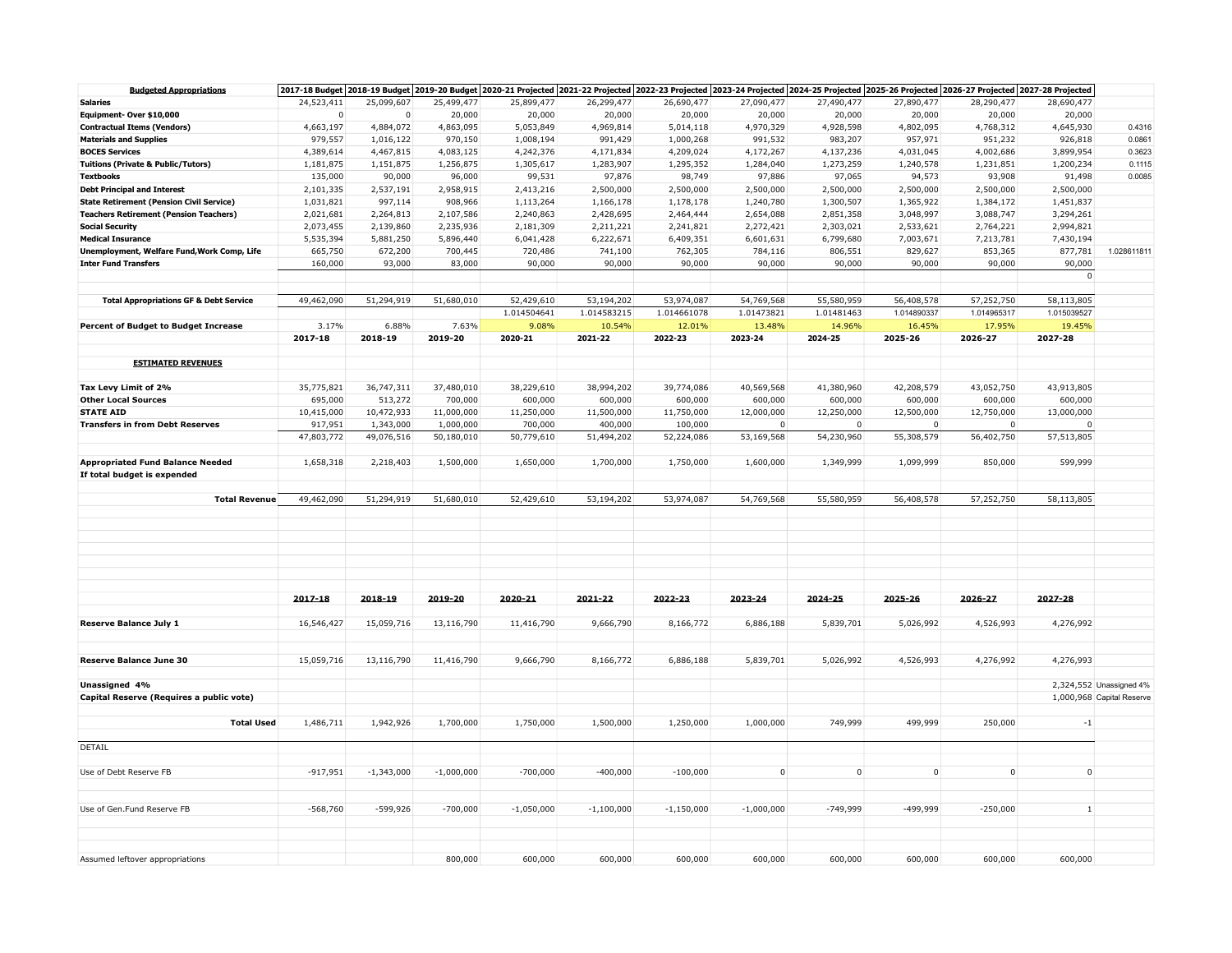| <b>Budgeted Appropriations</b>                    |             |              |              |              |              |              |              |            | 2017-18 Budget 2018-19 Budget 2019-20 Budget 2019-20 Budget 2020-21 Projected 2021-22 Projected 2022-23 Projected 2023-24 Projected 2024-25 Projected 2025-26 Projected 2026-27 Projected 2027-28 Projected |             |              |                           |
|---------------------------------------------------|-------------|--------------|--------------|--------------|--------------|--------------|--------------|------------|-------------------------------------------------------------------------------------------------------------------------------------------------------------------------------------------------------------|-------------|--------------|---------------------------|
| <b>Salaries</b>                                   | 24,523,411  | 25,099,607   | 25,499,477   | 25,899,477   | 26,299,477   | 26,690,477   | 27,090,477   | 27,490,477 | 27,890,477                                                                                                                                                                                                  | 28,290,477  | 28,690,477   |                           |
| Equipment- Over \$10,000                          | $\mathbf 0$ |              | 20,000       | 20,000       | 20,000       | 20,000       | 20,000       | 20,000     | 20,000                                                                                                                                                                                                      | 20,000      | 20,000       |                           |
| <b>Contractual Items (Vendors)</b>                | 4,663,197   | 4,884,072    | 4,863,095    | 5,053,849    | 4,969,814    | 5,014,118    | 4,970,329    | 4,928,598  | 4,802,095                                                                                                                                                                                                   | 4,768,312   | 4,645,930    | 0.4316                    |
| <b>Materials and Supplies</b>                     | 979,557     | 1,016,122    | 970,150      | 1,008,194    | 991,429      | 1,000,268    | 991,532      | 983,207    | 957,971                                                                                                                                                                                                     | 951,232     | 926,818      | 0.0861                    |
| <b>BOCES Services</b>                             | 4,389,614   | 4,467,815    | 4,083,125    | 4,242,376    | 4,171,834    | 4,209,024    | 4,172,267    | 4,137,236  | 4,031,045                                                                                                                                                                                                   | 4,002,686   | 3,899,954    | 0.3623                    |
| <b>Tuitions (Private &amp; Public/Tutors)</b>     | 1,181,875   | 1,151,875    | 1,256,875    | 1,305,617    | 1,283,907    | 1,295,352    | 1,284,040    | 1,273,259  | 1,240,578                                                                                                                                                                                                   | 1,231,851   | 1,200,234    | 0.1115                    |
| <b>Textbooks</b>                                  | 135,000     | 90,000       | 96,000       | 99,531       | 97,876       | 98,749       | 97,886       | 97,065     | 94,573                                                                                                                                                                                                      | 93,908      | 91,498       | 0.0085                    |
| <b>Debt Principal and Interest</b>                | 2,101,335   | 2,537,191    | 2,958,915    | 2,413,216    | 2,500,000    | 2,500,000    | 2,500,000    | 2,500,000  | 2,500,000                                                                                                                                                                                                   | 2,500,000   | 2,500,000    |                           |
| <b>State Retirement (Pension Civil Service)</b>   | 1,031,821   | 997,114      | 908,966      | 1,113,264    | 1,166,178    | 1,178,178    | 1,240,780    | 1,300,507  | 1,365,922                                                                                                                                                                                                   | 1,384,172   | 1,451,837    |                           |
| <b>Teachers Retirement (Pension Teachers)</b>     | 2,021,681   | 2,264,813    | 2,107,586    | 2,240,863    | 2,428,695    | 2,464,444    | 2,654,088    | 2,851,358  | 3,048,997                                                                                                                                                                                                   | 3,088,747   | 3,294,261    |                           |
|                                                   |             |              |              |              |              |              |              |            |                                                                                                                                                                                                             |             |              |                           |
| <b>Social Security</b>                            | 2,073,455   | 2,139,860    | 2,235,936    | 2,181,309    | 2,211,221    | 2,241,821    | 2,272,421    | 2,303,021  | 2,533,621                                                                                                                                                                                                   | 2,764,221   | 2,994,821    |                           |
| <b>Medical Insurance</b>                          | 5,535,394   | 5,881,250    | 5,896,440    | 6,041,428    | 6,222,671    | 6,409,351    | 6,601,631    | 6,799,680  | 7,003,671                                                                                                                                                                                                   | 7,213,781   | 7,430,194    |                           |
| Unemployment, Welfare Fund, Work Comp, Life       | 665,750     | 672,200      | 700,445      | 720,486      | 741,100      | 762,305      | 784,116      | 806,551    | 829,627                                                                                                                                                                                                     | 853,365     | 877,781      | 1.028611811               |
| <b>Inter Fund Transfers</b>                       | 160,000     | 93,000       | 83,000       | 90,000       | 90,000       | 90,000       | 90,000       | 90,000     | 90,000                                                                                                                                                                                                      | 90,000      | 90,000       |                           |
|                                                   |             |              |              |              |              |              |              |            |                                                                                                                                                                                                             |             | $\mathsf{O}$ |                           |
|                                                   |             |              |              |              |              |              |              |            |                                                                                                                                                                                                             |             |              |                           |
| <b>Total Appropriations GF &amp; Debt Service</b> | 49,462,090  | 51,294,919   | 51,680,010   | 52,429,610   | 53,194,202   | 53,974,087   | 54,769,568   | 55,580,959 | 56,408,578                                                                                                                                                                                                  | 57,252,750  | 58,113,805   |                           |
|                                                   |             |              |              | 1.014504641  | 1.014583215  | 1.014661078  | 1.01473821   | 1.01481463 | 1.014890337                                                                                                                                                                                                 | 1.014965317 | 1.015039527  |                           |
| <b>Percent of Budget to Budget Increase</b>       | 3.17%       | 6.88%        | 7.63%        | 9.08%        | 10.54%       | 12.01%       | 13.48%       | 14.96%     | 16.45%                                                                                                                                                                                                      | 17.95%      | 19.45%       |                           |
|                                                   | 2017-18     | 2018-19      | 2019-20      | 2020-21      | 2021-22      | 2022-23      | 2023-24      | 2024-25    | 2025-26                                                                                                                                                                                                     | 2026-27     | 2027-28      |                           |
|                                                   |             |              |              |              |              |              |              |            |                                                                                                                                                                                                             |             |              |                           |
| <b>ESTIMATED REVENUES</b>                         |             |              |              |              |              |              |              |            |                                                                                                                                                                                                             |             |              |                           |
|                                                   |             |              |              |              |              |              |              |            |                                                                                                                                                                                                             |             |              |                           |
| Tax Levy Limit of 2%                              | 35,775,821  | 36,747,311   | 37,480,010   | 38,229,610   | 38,994,202   | 39,774,086   | 40,569,568   | 41,380,960 | 42,208,579                                                                                                                                                                                                  | 43,052,750  | 43,913,805   |                           |
| <b>Other Local Sources</b>                        | 695,000     | 513,272      | 700,000      | 600,000      | 600,000      | 600,000      | 600,000      | 600,000    | 600,000                                                                                                                                                                                                     | 600,000     | 600,000      |                           |
| <b>STATE AID</b>                                  | 10,415,000  | 10,472,933   | 11,000,000   | 11,250,000   | 11,500,000   | 11,750,000   | 12,000,000   | 12,250,000 | 12,500,000                                                                                                                                                                                                  | 12,750,000  | 13,000,000   |                           |
| <b>Transfers in from Debt Reserves</b>            | 917,951     | 1,343,000    | 1,000,000    | 700,000      | 400,000      | 100,000      | $\mathbf 0$  | 0          | 0                                                                                                                                                                                                           | $\mathbf 0$ | $\Omega$     |                           |
|                                                   |             |              |              |              |              |              |              |            |                                                                                                                                                                                                             |             |              |                           |
|                                                   | 47,803,772  | 49,076,516   | 50,180,010   | 50,779,610   | 51,494,202   | 52,224,086   | 53,169,568   | 54,230,960 | 55,308,579                                                                                                                                                                                                  | 56,402,750  | 57,513,805   |                           |
|                                                   |             |              |              |              |              |              |              |            |                                                                                                                                                                                                             |             |              |                           |
| <b>Appropriated Fund Balance Needed</b>           | 1,658,318   | 2,218,403    | 1,500,000    | 1,650,000    | 1,700,000    | 1,750,000    | 1,600,000    | 1,349,999  | 1,099,999                                                                                                                                                                                                   | 850,000     | 599,999      |                           |
| If total budget is expended                       |             |              |              |              |              |              |              |            |                                                                                                                                                                                                             |             |              |                           |
|                                                   |             |              |              |              |              |              |              |            |                                                                                                                                                                                                             |             |              |                           |
| <b>Total Revenue</b>                              | 49,462,090  | 51,294,919   | 51,680,010   | 52,429,610   | 53,194,202   | 53,974,087   | 54,769,568   | 55,580,959 | 56,408,578                                                                                                                                                                                                  | 57,252,750  | 58,113,805   |                           |
|                                                   |             |              |              |              |              |              |              |            |                                                                                                                                                                                                             |             |              |                           |
|                                                   |             |              |              |              |              |              |              |            |                                                                                                                                                                                                             |             |              |                           |
|                                                   |             |              |              |              |              |              |              |            |                                                                                                                                                                                                             |             |              |                           |
|                                                   |             |              |              |              |              |              |              |            |                                                                                                                                                                                                             |             |              |                           |
|                                                   |             |              |              |              |              |              |              |            |                                                                                                                                                                                                             |             |              |                           |
|                                                   |             |              |              |              |              |              |              |            |                                                                                                                                                                                                             |             |              |                           |
|                                                   |             |              |              |              |              |              |              |            |                                                                                                                                                                                                             |             |              |                           |
|                                                   | 2017-18     | 2018-19      | 2019-20      | 2020-21      | 2021-22      | 2022-23      | 2023-24      | 2024-25    | 2025-26                                                                                                                                                                                                     | 2026-27     | 2027-28      |                           |
|                                                   |             |              |              |              |              |              |              |            |                                                                                                                                                                                                             |             |              |                           |
| <b>Reserve Balance July 1</b>                     | 16,546,427  | 15,059,716   | 13,116,790   | 11,416,790   | 9,666,790    | 8,166,772    | 6,886,188    | 5,839,701  | 5,026,992                                                                                                                                                                                                   | 4,526,993   | 4,276,992    |                           |
|                                                   |             |              |              |              |              |              |              |            |                                                                                                                                                                                                             |             |              |                           |
|                                                   |             |              |              |              |              |              |              |            |                                                                                                                                                                                                             |             |              |                           |
| <b>Reserve Balance June 30</b>                    | 15,059,716  | 13,116,790   | 11,416,790   | 9,666,790    | 8,166,772    | 6,886,188    | 5,839,701    | 5,026,992  | 4,526,993                                                                                                                                                                                                   | 4,276,992   | 4,276,993    |                           |
|                                                   |             |              |              |              |              |              |              |            |                                                                                                                                                                                                             |             |              |                           |
| Unassigned 4%                                     |             |              |              |              |              |              |              |            |                                                                                                                                                                                                             |             |              | 2,324,552 Unassigned 4%   |
|                                                   |             |              |              |              |              |              |              |            |                                                                                                                                                                                                             |             |              |                           |
| Capital Reserve (Requires a public vote)          |             |              |              |              |              |              |              |            |                                                                                                                                                                                                             |             |              | 1,000,968 Capital Reserve |
|                                                   |             |              |              |              |              |              |              |            |                                                                                                                                                                                                             |             |              |                           |
| <b>Total Used</b>                                 | 1,486,711   | 1,942,926    | 1,700,000    | 1,750,000    | 1,500,000    | 1,250,000    | 1,000,000    | 749,999    | 499,999                                                                                                                                                                                                     | 250,000     | $-1$         |                           |
|                                                   |             |              |              |              |              |              |              |            |                                                                                                                                                                                                             |             |              |                           |
| DETAIL                                            |             |              |              |              |              |              |              |            |                                                                                                                                                                                                             |             |              |                           |
|                                                   |             |              |              |              |              |              |              |            |                                                                                                                                                                                                             |             |              |                           |
| Use of Debt Reserve FB                            | $-917,951$  | $-1,343,000$ | $-1,000,000$ | $-700,000$   | $-400,000$   | $-100,000$   | $\mathbf 0$  | $\pmb{0}$  | $\mathsf{O}\xspace$                                                                                                                                                                                         | $\mathbf 0$ | $\mathsf 0$  |                           |
|                                                   |             |              |              |              |              |              |              |            |                                                                                                                                                                                                             |             |              |                           |
|                                                   |             |              |              |              |              |              |              |            |                                                                                                                                                                                                             |             |              |                           |
| Use of Gen.Fund Reserve FB                        | $-568,760$  | $-599,926$   | $-700,000$   | $-1,050,000$ | $-1,100,000$ | $-1,150,000$ | $-1,000,000$ | $-749,999$ | $-499,999$                                                                                                                                                                                                  | $-250,000$  | $\mathbf{1}$ |                           |
|                                                   |             |              |              |              |              |              |              |            |                                                                                                                                                                                                             |             |              |                           |
|                                                   |             |              |              |              |              |              |              |            |                                                                                                                                                                                                             |             |              |                           |
|                                                   |             |              |              |              |              |              |              |            |                                                                                                                                                                                                             |             |              |                           |
| Assumed leftover appropriations                   |             |              | 800,000      | 600,000      | 600,000      | 600,000      | 600,000      | 600,000    | 600,000                                                                                                                                                                                                     | 600,000     | 600,000      |                           |
|                                                   |             |              |              |              |              |              |              |            |                                                                                                                                                                                                             |             |              |                           |